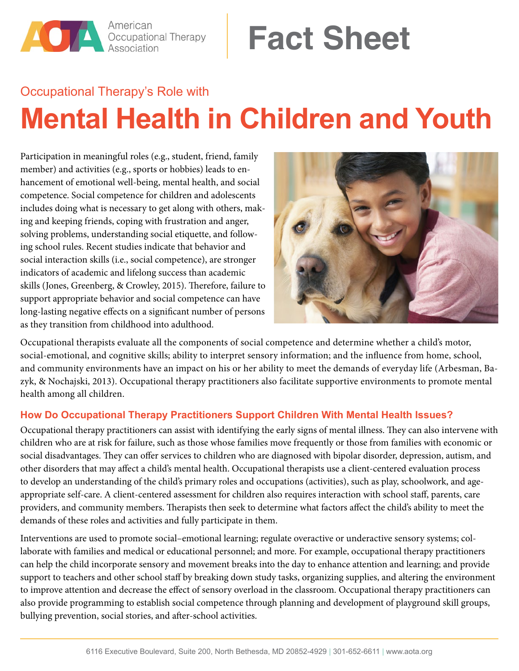

# **Fact Sheet**

## Occupational Therapy's Role with **Mental Health in Children and Youth**

Participation in meaningful roles (e.g., student, friend, family member) and activities (e.g., sports or hobbies) leads to enhancement of emotional well-being, mental health, and social competence. Social competence for children and adolescents includes doing what is necessary to get along with others, making and keeping friends, coping with frustration and anger, solving problems, understanding social etiquette, and following school rules. Recent studies indicate that behavior and social interaction skills (i.e., social competence), are stronger indicators of academic and lifelong success than academic skills (Jones, Greenberg, & Crowley, 2015). Therefore, failure to support appropriate behavior and social competence can have long-lasting negative effects on a significant number of persons as they transition from childhood into adulthood.



Occupational therapists evaluate all the components of social competence and determine whether a child's motor, social-emotional, and cognitive skills; ability to interpret sensory information; and the influence from home, school, and community environments have an impact on his or her ability to meet the demands of everyday life (Arbesman, Bazyk, & Nochajski, 2013). Occupational therapy practitioners also facilitate supportive environments to promote mental health among all children.

### **How Do Occupational Therapy Practitioners Support Children With Mental Health Issues?**

Occupational therapy practitioners can assist with identifying the early signs of mental illness. They can also intervene with children who are at risk for failure, such as those whose families move frequently or those from families with economic or social disadvantages. They can offer services to children who are diagnosed with bipolar disorder, depression, autism, and other disorders that may affect a child's mental health. Occupational therapists use a client-centered evaluation process to develop an understanding of the child's primary roles and occupations (activities), such as play, schoolwork, and ageappropriate self-care. A client-centered assessment for children also requires interaction with school staff, parents, care providers, and community members. Therapists then seek to determine what factors affect the child's ability to meet the demands of these roles and activities and fully participate in them.

Interventions are used to promote social–emotional learning; regulate overactive or underactive sensory systems; collaborate with families and medical or educational personnel; and more. For example, occupational therapy practitioners can help the child incorporate sensory and movement breaks into the day to enhance attention and learning; and provide support to teachers and other school staff by breaking down study tasks, organizing supplies, and altering the environment to improve attention and decrease the effect of sensory overload in the classroom. Occupational therapy practitioners can also provide programming to establish social competence through planning and development of playground skill groups, bullying prevention, social stories, and after-school activities.